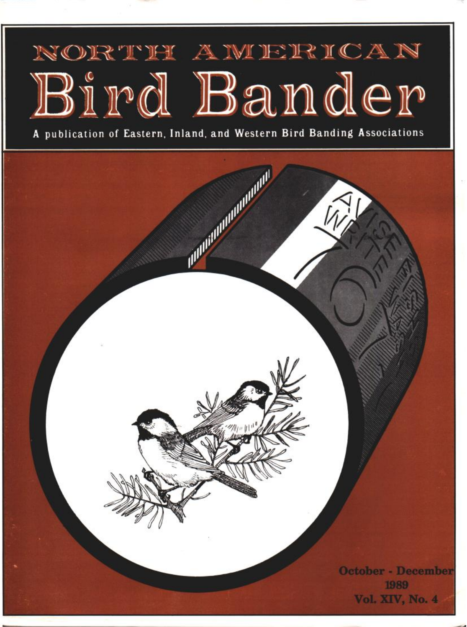